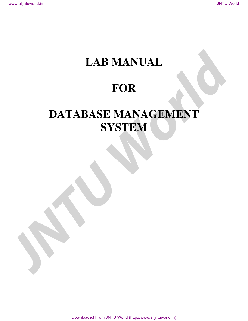# **LAB MANUAL**

# **FOR**

# **DATABASE MANAGEMENT SYSTEM**  LAB MANUAL<br>FOR<br>DATABASE MANAGEMENT<br>SYSTEM

Downloaded From JNTU World (http://www.alljntuworld.in)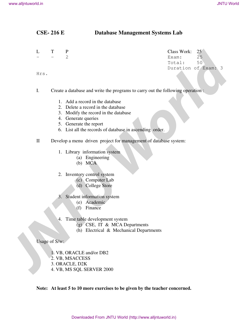## **CSE- 216 E Database Management Systems Lab**

|              | <b>CSE-216 E</b> | <b>Database Management Systems Lab</b>                                                                                                                                                                                                                                                                      |                                                                         |  |
|--------------|------------------|-------------------------------------------------------------------------------------------------------------------------------------------------------------------------------------------------------------------------------------------------------------------------------------------------------------|-------------------------------------------------------------------------|--|
| L            | T                | $\mathbf{P}$<br>$\overline{2}$                                                                                                                                                                                                                                                                              | Class Work:<br>25<br>25<br>Exam:<br>50<br>Total:<br>Duration of Exam: 3 |  |
| Hrs.         |                  |                                                                                                                                                                                                                                                                                                             |                                                                         |  |
| Ι.           |                  | Create a database and write the programs to carry out the following operation:<br>1. Add a record in the database<br>2. Delete a record in the database<br>3. Modify the record in the database<br>4. Generate queries<br>5. Generate the report<br>6. List all the records of database in ascending order. |                                                                         |  |
| $\mathbf{I}$ |                  | Develop a menu driven project for management of database system:<br>1. Library information system<br>(a) Engineering<br>(b) MCA                                                                                                                                                                             |                                                                         |  |
|              |                  | 2. Inventory control system<br>(c) Computer Lab<br>(d) College Store<br>3. Student information system<br>(e) Academic<br>Finance<br>(f)                                                                                                                                                                     |                                                                         |  |
|              | 4.               | Time table development system<br>(g) CSE, IT & MCA Departments<br>(h) Electrical & Mechanical Departments                                                                                                                                                                                                   |                                                                         |  |
|              | Usage of S/w:    |                                                                                                                                                                                                                                                                                                             |                                                                         |  |
|              |                  | 1. VB, ORACLE and/or DB2<br>2. VB, MSACCESS<br>3. ORACLE, D2K<br>4. VB, MS SQL SERVER 2000                                                                                                                                                                                                                  |                                                                         |  |

- 1. Add a record in the database
- 2. Delete a record in the database
- 3. Modify the record in the database
- 4. Generate queries
- 5. Generate the report
- 6. List all the records of database in ascending order.

- 1. Library information system
	- (a) Engineering
	- (b) MCA

#### 2. Inventory control system

- (c) Computer Lab
- (d) College Store
- 3. Student information system
	- (e) Academic
	- (f) Finance
- 4. Time table development system
	- (g) CSE, IT & MCA Departments
	- (h) Electrical & Mechanical Departments

- 2. VB, MSACCESS
- 3. ORACLE, D2K
- 4. VB, MS SQL SERVER 2000

**Note: At least 5 to 10 more exercises to be given by the teacher concerned.**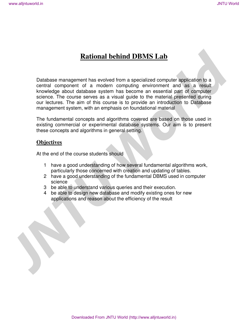# **Rational behind DBMS Lab**

Database management has evolved from a specialized computer application to a central component of a modern computing environment and as a result knowledge about database system has become an essential part of computer science. The course serves as a visual guide to the material presented during our lectures. The aim of this course is to provide an introduction to Database management system, with an emphasis on foundational material We alljntuword: in<br> **JNTU World<br>
Detachase management has evolved from a specialized computer application to a<br>
semi-ally computer and as a result of a modern computer and as a result<br>
for the direct and the course is to p** 

The fundamental concepts and algorithms covered are based on those used in existing commercial or experimental database systems. Our aim is to present these concepts and algorithms in general setting.

## **Objectives**

At the end of the course students should

- 1 have a good understanding of how several fundamental algorithms work, particularly those concerned with creation and updating of tables.
- 2 have a good understanding of the fundamental DBMS used in computer science
- 3 be able to understand various queries and their execution.
- 4 be able to design new database and modify existing ones for new applications and reason about the efficiency of the result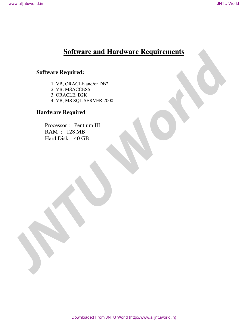# **Software and Hardware Requirements**

## **Software Required:**

1. VB, ORACLE and/or DB2 2. VB, MSACCESS 3. ORACLE, D2K 4. VB, MS SQL SERVER 2000 **Software and Hardware Requirements**<br> **Software Required.**<br>  $\frac{1}{2}$  VB. 08.4CLE make DB2<br>  $\frac{2}{3}$  OR NCLE DTS<br>  $\frac{1}{4}$  VB. MS SQL SURVER 2000<br> **Hardware Requirements**<br>
Processor: Pentium III<br>
PAND : DEN MB<br>
Hard Disk

## **Hardware Required**:

 Processor : Pentium III RAM : 128 MB Hard Disk : 40 GB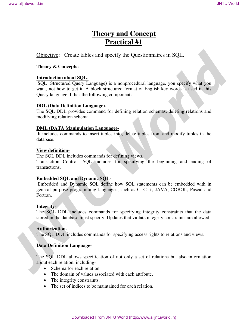# **Theory and Concept Practical #1**

## Objective: Create tables and specify the Questionnaires in SQL.

## **Theory & Concepts:**

## **Introduction about SQL-**

 SQL (Structured Query Language) is a nonprocedural language, you specify what you want, not how to get it. A block structured format of English key words is used in this Query language. It has the following components. **Theory and Concept**<br> **Theory and Concepts**<br> **Practical #1**<br>
Objective: Create tables and specify the Question<br>matrix in SQL.<br> **Hence & Concepts:**<br> **Letter without SQL.**<br> **STRANG with stress through the SU Language)** is a

## **DDL (Data Definition Language)-**

The SQL DDL provides command for defining relation schemas, deleting relations and modifying relation schema.

## **DML (DATA Manipulation Language)-**

 It includes commands to insert tuples into, delete tuples from and modify tuples in the database.

## **View definition-**

The SQL DDL includes commands for defining views. Transaction Control- SQL includes for specifying the beginning and ending of transactions.

## **Embedded SQL and Dynamic SQL-**

 Embedded and Dynamic SQL define how SQL statements can be embedded with in general purpose programming languages, such as C, C++, JAVA, COBOL, Pascal and Fortran.

## **Integrity-**

The SQL DDL includes commands for specifying integrity constraints that the data stored in the database must specify. Updates that violate integrity constraints are allowed.

## **Authorization-**

The SQL DDL includes commands for specifying access rights to relations and views.

## **Data Definition Language-**

The SQL DDL allows specification of not only a set of relations but also information about each relation, including-

- Schema for each relation
- The domain of values associated with each attribute.
- The integrity constraints.
- The set of indices to be maintained for each relation.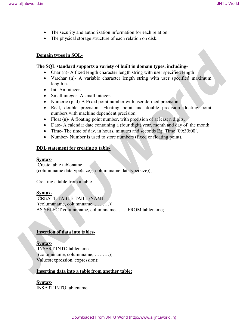- The security and authorization information for each relation.
- The physical storage structure of each relation on disk.

#### **Domain types in SQL-**

#### **The SQL standard supports a variety of built in domain types, including-**

- Char (n)- A fixed length character length string with user specified length.
- Varchar (n)- A variable character length string with user specified maximum length n.
- Int-An integer.
- Small integer- A small integer.
- Numeric (p, d)-A Fixed point number with user defined precision.
- Real, double precision- Floating point and double precision floating point numbers with machine dependent precision.
- Float (n)- A floating point number, with precision of at least n digits.
- Date- A calendar date containing a (four digit) year, month and day of the month.
- Time- The time of day, in hours, minutes and seconds Eg. Time '09:30:00'.
- Number- Number is used to store numbers (fixed or floating point).

## **DDL statement for creating a table-**

#### **Syntax-**

 Create table tablename (columnname datatype(size), columnname datatype(size));

## Creating a table from a table-

## **Syntax-**

 CREATE TABLE TABLENAME [(columnname, columnname, ………)] AS SELECT columnname, columnname……..FROM tablename; **Solution**<br> **JNTU World**<br> **JNTU World**<br> **JNTU Movement And Analysis** of scale is a stricted of scale is a stricted of the stricted of the stricted of the stricted of the stricted of the stricted of the stricted of the stri

## **Insertion of data into tables-**

## **Syntax-**

 INSERT INTO tablename [(columname, columname, .........)] Values(expression, expression);

## **Inserting data into a table from another table:**

**Syntax-**INSERT INTO tablename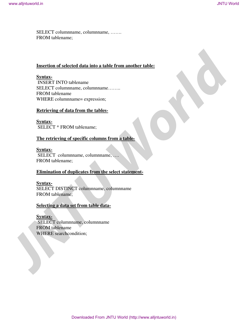SELECT columnname, columnname, ……. FROM tablename;

## **Insertion of selected data into a table from another table:**

#### **Syntax-**

 INSERT INTO tablename SELECT columnname, columnname…….. FROM tablename WHERE columnname= expression; West alljebackers<br>
SFLECT columnmance, columnwane, .......<br>
JNTU World<br>
JNTU RENDAMENT INTO RENDAMENT INTO RENDAMENT INTO A RENDAMENT INTO RENDAMENT INTO RENDAMENT INTO A RENDAMENT INTO THE STATE OF THE SERVE INTO THE SCRE

## **Retrieving of data from the tables-**

**Syntax-** SELECT \* FROM tablename;

## **The retrieving of specific columns from a table-**

## **Syntax-**

 SELECT columnname, columnname, …. FROM tablename;

## **Elimination of duplicates from the select statement-**

## **Syntax-**

SELECT DISTINCT columnname, columnname FROM tablename;

## **Selecting a data set from table data-**

**Syntax-**

 SELECT columnname, columnname FROM tablename WHERE searchcondition;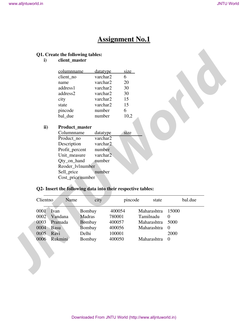# **Assignment No.1**

# **Q1. Create the following tables:**

| columnname | <u>datatype</u> | size |
|------------|-----------------|------|
| client no  | varchar2        | 6    |
| name       | varchar2        | 20   |
| address1   | varchar2        | 30   |
| address2   | varchar2        | 30   |
| city       | varchar2        | 15   |
| state      | varchar2        | 15   |
| pincode    | number          | 6    |
| bal due    | number          | 10.2 |

## **ii) Product\_master**

| Columnname        | datatype | size |
|-------------------|----------|------|
| Product no        | varchar2 |      |
| Description       | varchar2 |      |
| Profit_percent    | number   |      |
| Unit_measure      | varchar2 |      |
| Qty_on_hand       | number   |      |
| Reoder_lvlnumber  |          |      |
| Sell_price        | number   |      |
| Cost_price number |          |      |

## **Q2- Insert the following data into their respective tables:**

|              |                                                             |                  | <b>Assignment No.1</b> |             |                      |         |
|--------------|-------------------------------------------------------------|------------------|------------------------|-------------|----------------------|---------|
| $\mathbf{i}$ | Q1. Create the following tables:<br>client_master           |                  |                        |             |                      |         |
|              | columnname                                                  | datatype         | size                   |             |                      |         |
|              | client_no                                                   | varchar2         | 6                      |             |                      |         |
|              | name                                                        | varchar2         | 20                     |             |                      |         |
|              | address1                                                    | varchar2         | 30                     |             |                      |         |
|              | address2                                                    | varchar2         | 30                     |             |                      |         |
|              | city                                                        | varchar2         | 15                     |             |                      |         |
|              | state                                                       | varchar2         | 15                     |             |                      |         |
|              | pincode<br>bal_due                                          | number<br>number | 6<br>10,2              |             |                      |         |
|              |                                                             |                  |                        |             |                      |         |
| ii)          | Product_master                                              |                  |                        |             |                      |         |
|              | Columnname                                                  | datatype         | size                   |             |                      |         |
|              | Product_no                                                  | varchar2         |                        |             |                      |         |
|              | Description                                                 | varchar2         |                        |             |                      |         |
|              | Profit_percent                                              | number           |                        |             |                      |         |
|              |                                                             |                  |                        |             |                      |         |
|              | Unit_measure                                                | varchar2         |                        |             |                      |         |
|              | Qty_on_hand                                                 | number           |                        |             |                      |         |
|              | Reoder_lvlnumber                                            |                  |                        |             |                      |         |
|              | Sell_price                                                  | number           |                        |             |                      |         |
|              | Cost_price number                                           |                  |                        |             |                      |         |
|              | Q2- Insert the following data into their respective tables: |                  |                        |             |                      |         |
| Clientno     | Name                                                        | city             | pincode                | state       |                      | bal.due |
| 0001         | Ivan                                                        | Bombay           | 400054                 | Maharashtra | 15000                |         |
| 0002         | Madras<br>Vandana                                           |                  | 780001                 | Tamilnadu   | $\overline{0}$       |         |
| 0003         | Pramada                                                     | <b>Bombay</b>    | 400057                 | Maharashtra | 5000                 |         |
| 0004         | Basu                                                        | Bombay           | 400056                 | Maharashtra | $\overline{0}$       |         |
| 0005<br>0006 | Delhi<br>Ravi<br>Rukmini                                    | Bombay           | 100001<br>400050       | Maharashtra | 2000<br>$\mathbf{0}$ |         |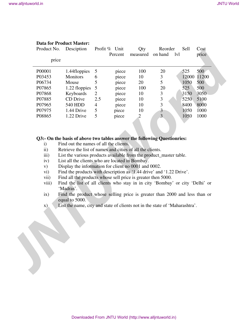| Product No.              |       | <b>Data for Product Master:</b><br>Desciption                                                                                                                                                                                                   |     | Profit % Unit | Qty            | Reorder        | Sell | Cost        |
|--------------------------|-------|-------------------------------------------------------------------------------------------------------------------------------------------------------------------------------------------------------------------------------------------------|-----|---------------|----------------|----------------|------|-------------|
|                          | price |                                                                                                                                                                                                                                                 |     | Percent       | measured       | on hand<br>lyl |      | price       |
| P00001                   |       | 1.44floppies                                                                                                                                                                                                                                    | 5   | piece         | 100            | 20             | 525  | 500         |
| P03453                   |       | Monitors                                                                                                                                                                                                                                        | 6   | piece         | 10             | 3              |      | 12000 11200 |
| P06734                   |       | Mouse                                                                                                                                                                                                                                           | 5   | piece         | 20             | 5              | 1050 | 500         |
| P07865                   |       | 1.22 floppies                                                                                                                                                                                                                                   | 5   | piece         | 100            | 20             | 525  | 500         |
| P07868                   |       | Keyboards                                                                                                                                                                                                                                       | 2   | piece         | 10             | 3              | 3150 | 3050        |
| P07885                   |       | CD Drive                                                                                                                                                                                                                                        | 2.5 | piece         | 10             | 3              | 5250 | 5100        |
| P07965                   |       | 540 HDD                                                                                                                                                                                                                                         | 4   | piece         | 10             | 3              | 8400 | 8000        |
| P07975                   |       | 1.44 Drive                                                                                                                                                                                                                                      | 5   | piece         | 10             | 3              | 1050 | 1000        |
| P08865                   |       | 1.22 Drive                                                                                                                                                                                                                                      | 5   | piece         | $\overline{2}$ | $\overline{3}$ | 1050 | 1000        |
| iv)<br>V)<br>vi)<br>vii) |       | List all the clients who are located in Bombay.<br>Display the information for client no 0001 and 0002.<br>Find the products with description as '1.44 drive' and '1.22 Drive'.<br>Find all the products whose sell price is greater then 5000. |     |               |                |                |      |             |
| viii)                    |       | Find the list of all clients who stay in in city 'Bombay' or city 'Delhi' or<br>'Madras'.                                                                                                                                                       |     |               |                |                |      |             |
| ix)                      |       | Find the product whose selling price is greater than 2000 and less than or<br>equal to 5000.                                                                                                                                                    |     |               |                |                |      |             |
| X)                       |       | List the name, city and state of clients not in the state of 'Maharashtra'.                                                                                                                                                                     |     |               |                |                |      |             |
|                          |       |                                                                                                                                                                                                                                                 |     |               |                |                |      |             |
|                          |       |                                                                                                                                                                                                                                                 |     |               |                |                |      |             |
|                          |       |                                                                                                                                                                                                                                                 |     |               |                |                |      |             |
|                          |       |                                                                                                                                                                                                                                                 |     |               |                |                |      |             |

## **Data for Product Master:**

## **Q3:- On the basis of above two tables answer the following Questionries:**

- i) Find out the names of all the clients.
- ii) Retrieve the list of names and cities of all the clients.
- iii) List the various products available from the product\_master table.
- iv) List all the clients who are located in Bombay.
- v) Display the information for client no 0001 and 0002.
- vi) Find the products with description as '1.44 drive' and '1.22 Drive'.
- vii) Find all the products whose sell price is greater then 5000.
- viii) Find the list of all clients who stay in in city 'Bombay' or city 'Delhi' or 'Madras'.
- ix) Find the product whose selling price is greater than 2000 and less than or equal to 5000.
- x) List the name, city and state of clients not in the state of 'Maharashtra'.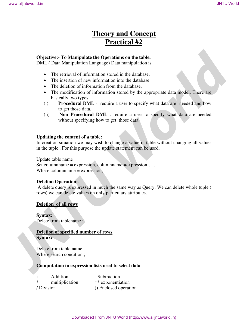# **Theory and Concept Practical #2**

## **Objective:- To Manipulate the Operations on the table.**

DML ( Data Manipulation Language) Data manipulation is

- The retrieval of information stored in the database.
- The insertion of new information into the database.
- The deletion of information from the database.
- The modification of information stored by the appropriate data model. There are basically two types.
- (i) **Procedural DML**:- require a user to specify what data are needed and how to get those data.
- (ii) **Non Procedural DML** : require a user to specify what data are needed without specifying how to get those data.

## **Updating the content of a table:**

In creation situation we may wish to change a value in table without changing all values in the tuple . For this purpose the update statement can be used.

Update table name

Set columnname = expression, columnname =expression…… Where columnname = expression;

## **Deletion Operation:-**

A delete query is expressed in much the same way as Query. We can delete whole tuple ( rows) we can delete values on only particulars attributes. **Theory and Concept (a)**<br> **Theory and Concept (b)**<br> **Practical #2**<br> **Objective-** To Manipulative the Operation and the dialeties.<br>
The retrieved of takeomutical mode of the dialeties.<br>
The fraction of the infermed from the

#### **Deletion of all rows**

**Syntax:**  Delete from tablename :

## **Deletion of specified number of rows Syntax:**

Delete from table name Where search condition ;

## **Computation in expression lists used to select data**

| $+$ | Addition       | - Subtraction         |
|-----|----------------|-----------------------|
| *   | multiplication | ** exponentiation     |
|     | / Division     | () Enclosed operation |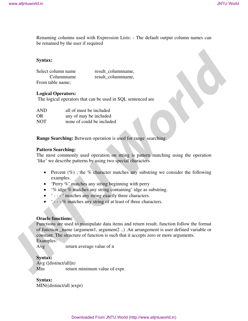Renaming columns used with Expression Lists: - The default output column names can be renamed by the user if required

## **Syntax:**

Select column name result\_columnname, Columnname result columnname, From table name;

## **Logical Operators:**

The logical operators that can be used in SQL sentenced are

| AND | all of must be included   |
|-----|---------------------------|
| OR  | any of may be included    |
| NOT | none of could be included |

**Range Searching:** Between operation is used for range searching.

## **Pattern Searching:**

The most commonly used operation on string is pattern matching using the operation 'like' we describe patterns by using two special characters.

- Percent  $(\%)$ ; the % character matches any substring we consider the following examples.
- 'Perry %' matches any string beginning with perry
- '% idge % matches any string containing' idge as substring.
- ' - ' matches any string exactly three characters.
- $\bullet$  ' - % matches any string of at least of three characters.

## **Oracle functions:**

Functions are used to manipulate data items and return result. function follow the format of function \_name (argument1, argument2 ..) .An arrangement is user defined variable or constant. The structure of function is such that it accepts zero or more arguments. Examples: **Manufacture 1998**<br> **JACON CONTRACTES**<br> **JACON CONTRACT CONTRACTES**<br> **SPECIES**<br> **SPECIES CONTRACT CONTRACTES**<br> **SPECIES CONTRACTES**<br> **SPECIES CONTRACT CONTRACTES**<br> **FORM CONTRACTES**<br> **FORM CONTRACTES**<br> **LOGIES OPERATORS:**<br>

Avg return average value of n

## **Syntax:**

Avg ([distinct/all]n) Min return minimum value of expr.

**Syntax:**  MIN((distinct/all )expr)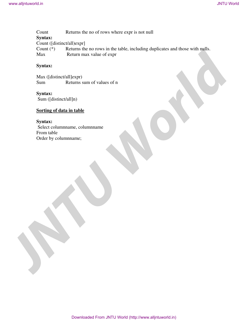Count Returns the no of rows where expr is not null **Syntax:**  Count ([distinct/all)expr]<br>Count (\*) Returns the Returns the no rows in the table, including duplicates and those with nulls. Max Return max value of expr World in the term of the members of the case of the national<br>
Synthetic distinction (English control into the national properties)<br>
Count (<sup>F)</sup> Control materials and the indicated properties)<br>
Count (F) Resume may value of

## **Syntax:**

Max ([distinct/all]expr) Sum Returns sum of values of n

## **Syntax:**

Sum ([distinct/all]n)

## **Sorting of data in table**

## **Syntax:**

 Select columnname, columnname From table Order by columnname;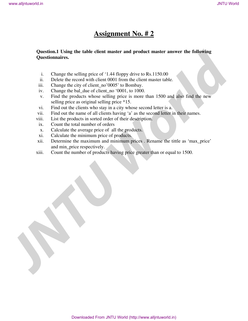## **Assignment No. # 2**

# **Question.1 Using the table client master and product master answer the following Questionnaires. JNTU World**<br> **JNTU World**<br> **JNTU World**<br> **JNTU World**<br> **JNTU World**<br> **JNTU World**<br> **JNTU World**<br> **L** Change from Sulling price of  $\pi$  144 floppy drive to R&1150.00<br> **i.** Deliver the extend with the original world. For t

- i. Change the selling price of '1.44 floppy drive to Rs.1150.00
- ii. Delete the record with client 0001 from the client master table.
- iii. Change the city of client\_no'0005' to Bombay.
- iv. Change the bal\_due of client\_no '0001, to 1000.
- v. Find the products whose selling price is more than 1500 and also find the new selling price as original selling price \*15.
- vi. Find out the clients who stay in a city whose second letter is a.
- vii. Find out the name of all clients having 'a' as the second letter in their names.
- viii. List the products in sorted order of their description.
- ix. Count the total number of orders
- x. Calculate the average price of all the products.
- xi. Calculate the minimum price of products.
- xii. Determine the maximum and minimum prices . Rename the tittle as 'max\_price' and min\_price respectively.
- xiii. Count the number of products having price greater than or equal to 1500.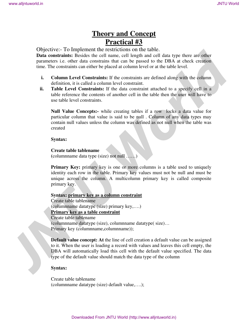# **Theory and Concept Practical #3**

Objective:- To Implement the restrictions on the table.

**Data constraints:** Besides the cell name, cell length and cell data type there are other parameters i.e. other data constrains that can be passed to the DBA at check creation time. The constraints can either be placed at column level or at the table level.

- **i. Column Level Constraints:** If the constraints are defined along with the column definition, it is called a column level constraint.
- **ii. Table Level Constraints:** If the data constraint attached to a specify cell in a table reference the contents of another cell in the table then the user will have to use table level constraints.

**Null Value Concepts:-** while creating tables if a row locks a data value for particular column that value is said to be null . Column of any data types may contain null values unless the column was defined as not null when the table was created

#### **Syntax:**

#### **Create table tablename**

**(**columnname data type (size) not null ……)

**Primary Key:** primary key is one or more columns is a table used to uniquely identity each row in the table. Primary key values must not be null and must be unique across the column. A multicolumn primary key is called composite primary key.

## **Syntax: primary key as a column constraint**

Create table tablename (columnname datatype (size) primary key,….) **Primary key as a table constraint** Create table tablename (columnname datatype (size), columnname datatype( size)… Primary key (columnname,columnname)); **JNEW SET ALL CONSULTER CONSULTER CONSULTER CONSULTER CONSULTER CONSULTER CONSULTER CONSULTER CONSULTER CONSULTER CONSULTER CONSULTER CONSULTER CONSULTER CONSULTER CONSULTER CONSULTER CONSULTER CONSULTER CONSULTER CONSULT** 

**Default value concept: At** the line of cell creation a default value can be assigned to it. When the user is loading a record with values and leaves this cell empty, the DBA will automatically load this cell with the default value specified. The data type of the default value should match the data type of the column

## **Syntax:**

Create table tablename (columnname datatype (size) default value,….);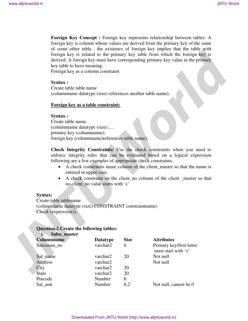## **Syntax :**

## **Foreign key as a table constraint:**

## **Syntax :**

- A check constraints name column of the client\_master so that the name is entered in upper case.
- A check constraint on the client\_no column of the client \_master so that no client\_no value starts with 'c'

## **Syntax:**

## **Question.2 Create the following tables: i. Sales\_master**

| www.alljntuworld.in |                                                                                                          |                                                                                                                                                                                    |             |                                                                                                                                                                                                                                                                                                                                                                                                                     | <b>JNTU World</b> |
|---------------------|----------------------------------------------------------------------------------------------------------|------------------------------------------------------------------------------------------------------------------------------------------------------------------------------------|-------------|---------------------------------------------------------------------------------------------------------------------------------------------------------------------------------------------------------------------------------------------------------------------------------------------------------------------------------------------------------------------------------------------------------------------|-------------------|
|                     |                                                                                                          |                                                                                                                                                                                    |             |                                                                                                                                                                                                                                                                                                                                                                                                                     |                   |
|                     | key table to have meaning.                                                                               | Foreign key as a column constraint                                                                                                                                                 |             | Foreign Key Concept : Foreign key represents relationship between tables. A<br>foreign key is column whose values are derived from the primary key of the same<br>of some other table. the existence of foreign key implies that the table with<br>foreign key is related to the primary key table from which the foreign key is<br>derived .A foreign key must have corresponding primary key value in the primary |                   |
|                     | Syntax :<br>Create table table name                                                                      |                                                                                                                                                                                    |             |                                                                                                                                                                                                                                                                                                                                                                                                                     |                   |
|                     |                                                                                                          | (columnname datatype (size) references another table name);                                                                                                                        |             |                                                                                                                                                                                                                                                                                                                                                                                                                     |                   |
|                     |                                                                                                          |                                                                                                                                                                                    |             |                                                                                                                                                                                                                                                                                                                                                                                                                     |                   |
|                     |                                                                                                          | Foreign key as a table constraint:                                                                                                                                                 |             |                                                                                                                                                                                                                                                                                                                                                                                                                     |                   |
|                     | Syntax :<br>Create table name<br>(columnname datatype (size)<br>primary key (columnname);                | foreign key (columnname) references table name);<br>following are a few examples of appropriate check constraints.<br>entered in upper case.<br>no client no value starts with 'c' |             | Check Integrity Constraints: Use the check constraints when you need to<br>enforce integrity rules that can be evaluated based on a logical expression<br>A check constraints name column of the client_master so that the name is<br>A check constraint on the client_no column of the client _master so that                                                                                                      |                   |
|                     | <b>Syntax:</b>                                                                                           |                                                                                                                                                                                    |             |                                                                                                                                                                                                                                                                                                                                                                                                                     |                   |
|                     | Create table tablename<br>(columnname datatype (size) CONSTRAINT constraintname)<br>Check (expression)); |                                                                                                                                                                                    |             |                                                                                                                                                                                                                                                                                                                                                                                                                     |                   |
|                     |                                                                                                          |                                                                                                                                                                                    |             |                                                                                                                                                                                                                                                                                                                                                                                                                     |                   |
|                     | <b>Question.2 Create the following tables:</b><br>Sales_master<br>i.                                     |                                                                                                                                                                                    |             |                                                                                                                                                                                                                                                                                                                                                                                                                     |                   |
|                     | <b>Columnname</b>                                                                                        | <b>Datatype</b>                                                                                                                                                                    | <b>Size</b> | <b>Attributes</b>                                                                                                                                                                                                                                                                                                                                                                                                   |                   |
|                     | Salesman_no                                                                                              | varchar2                                                                                                                                                                           | 6           | Primary key/first letter                                                                                                                                                                                                                                                                                                                                                                                            |                   |
|                     |                                                                                                          |                                                                                                                                                                                    |             | must start with 's'                                                                                                                                                                                                                                                                                                                                                                                                 |                   |
|                     | Sal_name<br>Address                                                                                      | varchar2<br>varchar2                                                                                                                                                               | 20          | Not null<br>Not null                                                                                                                                                                                                                                                                                                                                                                                                |                   |
|                     | City                                                                                                     | varchar2                                                                                                                                                                           | 20          |                                                                                                                                                                                                                                                                                                                                                                                                                     |                   |
|                     | <b>State</b>                                                                                             | varchar2                                                                                                                                                                           | 20          |                                                                                                                                                                                                                                                                                                                                                                                                                     |                   |
|                     | Pincode                                                                                                  | Number                                                                                                                                                                             | 6           |                                                                                                                                                                                                                                                                                                                                                                                                                     |                   |
|                     | Sal_amt                                                                                                  | Number                                                                                                                                                                             | 8,2         | Not null, cannot be 0                                                                                                                                                                                                                                                                                                                                                                                               |                   |
|                     |                                                                                                          |                                                                                                                                                                                    |             |                                                                                                                                                                                                                                                                                                                                                                                                                     |                   |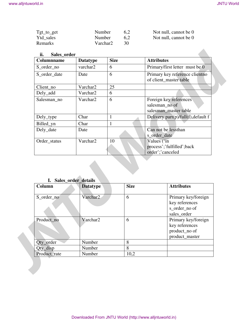| $Tgt_to\_get$  | Number   | 6.2 | Not null, cannot be 0 |
|----------------|----------|-----|-----------------------|
| Ytd sales      | Number   | 6.2 | Not null, cannot be 0 |
| <b>Remarks</b> | Varchar2 | 30  |                       |

## **ii. Sales\_order**

| Tgt_to_get<br>Ytd_sales<br>Remarks      | Number<br>Number<br>Varchar2 |              | 6,2<br>6,2<br>30                    | Not null, cannot be 0<br>Not null, cannot be 0                    |
|-----------------------------------------|------------------------------|--------------|-------------------------------------|-------------------------------------------------------------------|
| ii.<br>Sales_order<br><b>Columnname</b> | <b>Datatype</b>              | <b>Size</b>  |                                     | <b>Attributes</b>                                                 |
| S_order_no                              | varchar2                     | 6            |                                     | Primary/first letter must be 0                                    |
| S_order_date                            | Date                         | 6            |                                     | Primary key reference clientno<br>of client_master table          |
| Client_no                               | Varchar2                     | 25           |                                     |                                                                   |
| Dely_add                                | Varchar2                     | 6            |                                     |                                                                   |
| Salesman_no                             | Varchar2                     | 6            |                                     | Foreign key references<br>salesman_no of<br>salesman_master table |
| Dely_type                               | Char                         | $\mathbf{1}$ |                                     | Delivery part(p)/full(f), default f                               |
| Billed_yn                               | Char                         | $\mathbf{1}$ |                                     |                                                                   |
| Dely_date                               | Date                         |              | Can not be lessthan<br>s_order_date |                                                                   |
| Order_status                            | Varchar2                     | 10           |                                     | Values ('in<br>process';'fulfilled';back                          |
|                                         |                              |              |                                     | order';'canceled                                                  |
| I. Sales_order_details<br>Column        | <b>Datatype</b>              |              | <b>Size</b>                         | <b>Attributes</b>                                                 |
| S_order_no                              | Varchar2                     |              | 6                                   | key references<br>s_order_no of<br>sales_order                    |
| Product_no                              | Varchar2                     |              | 6                                   | key references<br>product_no of<br>product_master                 |
| Qty_order                               | Number                       |              | 8                                   | Primary key/foreign<br>Primary key/foreign                        |
| Qty_disp                                | Number                       |              | 8                                   |                                                                   |

| . .          | $5a$ ies $01$ uel $0e$ talls |             |                     |  |  |  |  |  |
|--------------|------------------------------|-------------|---------------------|--|--|--|--|--|
| Column       | <b>Datatype</b>              | <b>Size</b> | <b>Attributes</b>   |  |  |  |  |  |
|              |                              |             |                     |  |  |  |  |  |
| S_order_no   | Varchar2                     | 6           | Primary key/foreign |  |  |  |  |  |
|              |                              |             | key references      |  |  |  |  |  |
|              |                              |             | s_order_no of       |  |  |  |  |  |
|              |                              |             | sales_order         |  |  |  |  |  |
| Product_no   | Varchar2                     | 6           | Primary key/foreign |  |  |  |  |  |
|              |                              |             | key references      |  |  |  |  |  |
|              |                              |             | product_no of       |  |  |  |  |  |
|              |                              |             | product_master      |  |  |  |  |  |
| Qty_order    | Number                       | 8           |                     |  |  |  |  |  |
| $2$ ty_disp  | Number                       | 8           |                     |  |  |  |  |  |
| Product rate | Number                       | 10,2        |                     |  |  |  |  |  |

## **I. Sales\_order\_details**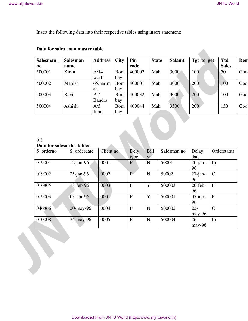| Salesman               | <b>Salesman</b> | <b>Address</b>         | <b>City</b>       | Pin    | <b>State</b> | <b>Salamt</b> | Tgt_to_get | Ytd          | Rem  |
|------------------------|-----------------|------------------------|-------------------|--------|--------------|---------------|------------|--------------|------|
| $\mathbf{n}\mathbf{o}$ | name            |                        |                   | code   |              |               |            | <b>Sales</b> |      |
| 500001                 | Kiran           | A/14<br>worli          | <b>Bom</b><br>bay | 400002 | Mah          | 3000          | 100        | 50           | Goo  |
| 500002                 | Manish          | 65, narim<br>an        | Bom<br>bay        | 400001 | Mah          | 3000          | 200        | 100          | Good |
| 500003                 | Ravi            | $P-7$<br><b>Bandra</b> | Bom<br>bay        | 400032 | Mah          | 3000          | 200        | 100          | Goo  |
| 500004                 | Ashish          | A/5<br>Juhu            | Bom<br>bay        | 400044 | Mah          | 3500          | 200        | 150          | Goo  |

## **Data for sales\_man master table**

## (ii)

## **Data for salesorder table:**

|                                     |                                           | Data for sales_man master table |                          |                           |                         |       |               |                  |             |                     |
|-------------------------------------|-------------------------------------------|---------------------------------|--------------------------|---------------------------|-------------------------|-------|---------------|------------------|-------------|---------------------|
| Salesman_<br>$\mathbf{n}\mathbf{o}$ | <b>Salesman</b><br>name                   | <b>Address</b>                  | <b>City</b>              | Pin<br>code               | <b>State</b>            |       | <b>Salamt</b> | Tgt_to_get       |             | Ytd<br><b>Sales</b> |
| 500001                              | Kiran                                     | A/14                            | <b>Bom</b>               | 400002                    | Mah                     |       | 3000          | 100              |             | 50                  |
| 500002                              | Manish                                    | worli<br>65, narim              | bay<br><b>Bom</b>        | 400001                    | Mah                     |       | 3000          | 200              |             | 100                 |
| 500003                              | Ravi                                      | an<br>$P-7$                     | bay<br><b>Bom</b>        | 400032                    | Mah                     |       | 3000          | 200              |             |                     |
| 500004                              | Ashish                                    | <b>Bandra</b><br>A/5<br>Juhu    | bay<br><b>Bom</b><br>bay | 400044                    | Mah                     |       | 3500          | 200              |             |                     |
| (ii)<br>S_orderno                   | Data for salesorder table:<br>S_orderdate |                                 | Client no                | Dely<br>type              | Bill<br>yn              |       | Salesman no   | Delay<br>date    | Orderstatus |                     |
| 019001                              | $12$ -jan-96                              |                                 | 0001                     | $\mathbf F$               | $\overline{\mathbf{N}}$ | 50001 |               | $20$ -jan-       | Ip          |                     |
|                                     |                                           |                                 |                          |                           |                         |       |               | 96               |             |                     |
| 019002                              | $25$ -jan-96                              |                                 | 0002                     | P <sub>1</sub>            | ${\bf N}$               | 50002 |               | $27$ -jan-<br>96 | $\mathbf C$ |                     |
| 016865                              | 18-feb-96                                 |                                 | 0003                     | F                         | Y                       |       | 500003        | $20$ -feb-<br>96 | $\mathbf F$ |                     |
| 019003                              | 03-apr-96                                 |                                 | 0001                     | $\boldsymbol{\mathrm{F}}$ | $\mathbf Y$             |       | 500001        | $07$ -apr-       | $\mathbf F$ |                     |
| 046866                              | 20-may-96                                 |                                 | 0004                     | $\, {\bf P}$              | ${\bf N}$               |       | 500002        | 96<br>$22 -$     | $\mathbf C$ |                     |
| 010008                              | 24-may-96                                 |                                 | 0005                     | $\mathbf F$               | ${\bf N}$               |       | 500004        | may-96<br>$26 -$ | Ip          |                     |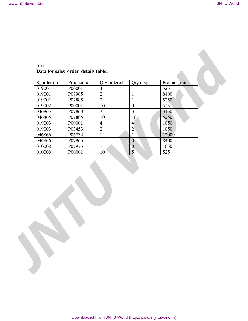| (iii)                               |  |  |
|-------------------------------------|--|--|
| Data for sales order details table: |  |  |

| 019001<br>P00001<br>$\overline{4}$<br>525<br>$\overline{4}$<br>$\sqrt{2}$<br>8400<br>019001<br>P07965<br>$\mathbf{1}$<br>$\overline{2}$<br>P07885<br>$\mathbf 1$<br>5250<br>019001<br>$10\,$<br>525<br>019002<br>P00001<br>$\boldsymbol{0}$<br>$\overline{\mathbf{3}}$<br>$\mathfrak{Z}$<br>046865<br>P07868<br>3150<br>$10\,$<br>5250<br>046865<br>P07885<br>$10\,$<br>$\overline{\phantom{a}}$<br>019003<br>P00001<br>1050<br>$\overline{4}$<br>$\overline{4}$<br>$\overline{2}$<br>$\overline{2}$<br>019003<br>1050<br>P03453<br>046866<br>P06734<br>12000<br>$\mathbf{1}$<br>$\mathbf{1}$<br>P07965<br>$\boldsymbol{0}$<br>8400<br>046866<br>$\mathbf{1}$<br>P07975<br>$\overline{0}$<br>010008<br>1050<br>$\mathbf{1}$<br>$\overline{5}$<br>525<br>010008<br>P00001<br>10 <sup>7</sup> |  |
|---------------------------------------------------------------------------------------------------------------------------------------------------------------------------------------------------------------------------------------------------------------------------------------------------------------------------------------------------------------------------------------------------------------------------------------------------------------------------------------------------------------------------------------------------------------------------------------------------------------------------------------------------------------------------------------------------------------------------------------------------------------------------------------------|--|
|                                                                                                                                                                                                                                                                                                                                                                                                                                                                                                                                                                                                                                                                                                                                                                                             |  |
|                                                                                                                                                                                                                                                                                                                                                                                                                                                                                                                                                                                                                                                                                                                                                                                             |  |
|                                                                                                                                                                                                                                                                                                                                                                                                                                                                                                                                                                                                                                                                                                                                                                                             |  |
|                                                                                                                                                                                                                                                                                                                                                                                                                                                                                                                                                                                                                                                                                                                                                                                             |  |
|                                                                                                                                                                                                                                                                                                                                                                                                                                                                                                                                                                                                                                                                                                                                                                                             |  |
|                                                                                                                                                                                                                                                                                                                                                                                                                                                                                                                                                                                                                                                                                                                                                                                             |  |
|                                                                                                                                                                                                                                                                                                                                                                                                                                                                                                                                                                                                                                                                                                                                                                                             |  |
|                                                                                                                                                                                                                                                                                                                                                                                                                                                                                                                                                                                                                                                                                                                                                                                             |  |
|                                                                                                                                                                                                                                                                                                                                                                                                                                                                                                                                                                                                                                                                                                                                                                                             |  |
|                                                                                                                                                                                                                                                                                                                                                                                                                                                                                                                                                                                                                                                                                                                                                                                             |  |
|                                                                                                                                                                                                                                                                                                                                                                                                                                                                                                                                                                                                                                                                                                                                                                                             |  |
|                                                                                                                                                                                                                                                                                                                                                                                                                                                                                                                                                                                                                                                                                                                                                                                             |  |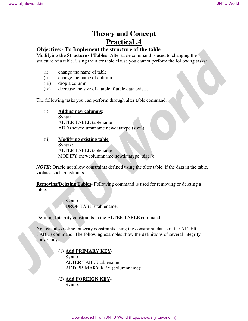# **Theory and Concept Practical .4**

## **Objective:- To Implement the structure of the table**

**Modifying the Structure of Tables**- Alter table command is used to changing the structure of a table. Using the alter table clause you cannot perform the following tasks:

- (i) change the name of table
- (ii) change the name of column
- (iii) drop a column
- (iv) decrease the size of a table if table data exists.

The following tasks you can perform through alter table command.

(i) **Adding new columns**:

Syntax ALTER TABLE tablename ADD (newcolumnname newdatatype (size));

## **(ii) Modifying existing table** Syntax: ALTER TABLE tablename MODIFY (newcolumnname newdatatype (size));

*NOTE***:** Oracle not allow constraints defined using the alter table, if the data in the table, violates such constraints.

**Removing/Deleting Tables**- Following command is used for removing or deleting a table.

> Syntax: DROP TABLE tablename:

Defining Integrity constraints in the ALTER TABLE command-

You can also define integrity constraints using the constraint clause in the ALTER TABLE command. The following examples show the definitions of several integrity constraints. **THEOTY AND CONTRAINSTER CONTRAINSTER (SUIT) THEOTHER CONTRAINSTER (SUIT) THEOTHER CONTRAINSTER (SUIT) THEOTHER CONTRAINSTEAD CONTRAINSTEAD CONTRAINSTEAD CONTRAINSTEAD CONTRAINSTEAD CONTRAINSTEAD CONTRAINSTEAD CONTRAINSTEA** 

## (1) **Add PRIMARY KEY**-

Syntax: ALTER TABLE tablename ADD PRIMARY KEY (columnname);

(2) **Add FOREIGN KEY**-Syntax: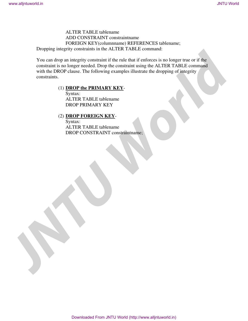ALTER TABLE tablename ADD CONSTRAINT constraintname FOREIGN KEY(columnname) REFERENCES tablename; Dropping integrity constraints in the ALTER TABLE command:

You can drop an integrity constraint if the rule that if enforces is no longer true or if the constraint is no longer needed. Drop the constraint using the ALTER TABLE command with the DROP clause. The following examples illustrate the dropping of integrity constraints. MTHK TAHLE Eublemann<br>
ADD CONSTRAINT constrainance<br> **JNTU CONSTRAINT CONSTRAINT CONSTRAINT CONSTRAINT CONSTRAINT CONSTRAINT CONSTRAINT CONSTRAINT CONSTRAINT CONSTRAINT CONSTRAINT CONSTRAINT CONSTRAINT CONSTRAINT CONSTRAINT** 

## (1) **DROP the PRIMARY KEY**-

Syntax: ALTER TABLE tablename DROP PRIMARY KEY

## (2) **DROP FOREIGN KEY**-

Syntax: ALTER TABLE tablename DROP CONSTRAINT constraintname;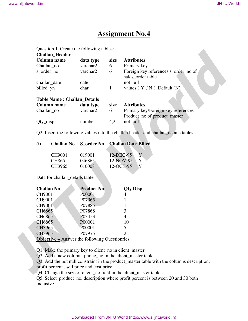# **Assignment No.4**

Question 1. Create the following tables:

|                   | <b>Challan_Header</b><br><b>Column name</b> | data type                                               | size         | <b>Attributes</b>                                                                         |
|-------------------|---------------------------------------------|---------------------------------------------------------|--------------|-------------------------------------------------------------------------------------------|
| Challan_no        |                                             | varchar2                                                | 6            | Primary key                                                                               |
| s_order_no        |                                             | varchar2                                                | 6            | Foreign key references s_order_no of                                                      |
|                   |                                             |                                                         |              | sales_order table                                                                         |
|                   | challan_date                                | date                                                    |              | not null                                                                                  |
| billed_yn         |                                             | char                                                    | $\mathbf{1}$ | values ('Y','N'). Default 'N'                                                             |
|                   | <b>Table Name: Challan_Details</b>          |                                                         |              |                                                                                           |
|                   | <b>Column name</b>                          | data type                                               | size         | <b>Attributes</b>                                                                         |
| Challan_no        |                                             | varchar2                                                | 6            | Primary key/Foreign key references                                                        |
|                   |                                             |                                                         |              | Product_no of product_master                                                              |
| Qty_disp          |                                             | number                                                  | 4,2          | not null                                                                                  |
|                   |                                             |                                                         |              |                                                                                           |
|                   |                                             |                                                         |              | Q2. Insert the following values into the challan header and challan_details tables:       |
| (i)               | <b>Challan No</b>                           | <b>S_order No</b>                                       |              | <b>Challan Date Billed</b>                                                                |
|                   | CH9001                                      | 019001                                                  | 12-DEC-95    | Y                                                                                         |
|                   | CH865                                       | 046865                                                  | 12-NOV-95    | Y                                                                                         |
|                   | CH3965                                      | 010008                                                  | 12-OCT-95    | Y                                                                                         |
|                   | Data for challan_details table              |                                                         |              |                                                                                           |
| <b>Challan No</b> |                                             | <b>Product No</b>                                       |              | <b>Qty Disp</b>                                                                           |
| CH9001            |                                             | P00001                                                  |              | 4                                                                                         |
| CH9001            |                                             | P07965                                                  |              |                                                                                           |
| <b>CH9001</b>     |                                             | P07885                                                  |              |                                                                                           |
| CH6865            |                                             | P07868                                                  |              | 3                                                                                         |
| CH6865            |                                             | P03453                                                  |              | $\overline{4}$                                                                            |
|                   |                                             | P00001                                                  |              | 10                                                                                        |
| CH6865            |                                             |                                                         |              | 5                                                                                         |
| CH3965            |                                             | P00001                                                  |              |                                                                                           |
| CH3965            |                                             | P07975                                                  |              | $\overline{2}$                                                                            |
|                   |                                             | <b>Objective – Answer the following Questionries</b>    |              |                                                                                           |
|                   |                                             |                                                         |              |                                                                                           |
|                   |                                             | Q1. Make the primary key to client_no in client_master. |              |                                                                                           |
|                   |                                             |                                                         |              | Q2. Add a new column phone_no in the client_master table.                                 |
|                   |                                             |                                                         |              | Q3. Add the not null constraint in the product_master table with the columns description, |

|  | (i) | Challan No |  | S_order No Challan Date Billed |
|--|-----|------------|--|--------------------------------|
|--|-----|------------|--|--------------------------------|

| CH9001 | 019001 | 12-DEC-95   | Y |
|--------|--------|-------------|---|
| CH865  | 046865 | $12-NOV-95$ |   |
| CH3965 | 010008 | 12-OCT-95   |   |

| <b>Challan No</b> | <b>Product No</b> | <b>Qty Disp</b> |
|-------------------|-------------------|-----------------|
| CH9001            | P00001            | 4               |
| CH9001            | P07965            |                 |
| <b>CH9001</b>     | P07885            |                 |
| CH6865            | P07868            | 3               |
| CH6865            | P03453            | 4               |
| CH6865            | P00001            | 10              |
| CH3965            | P00001            | 5               |
| CH3965            | P07975            | 2               |
| $- - -$           |                   |                 |

Q5. Select product\_no, description where profit percent is between 20 and 30 both inclusive.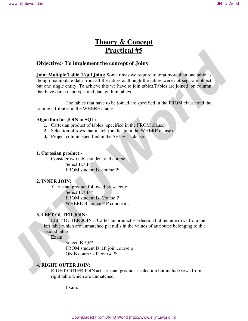# **Theory & Concept Practical #5**

## **Objective:- To implement the concept of Joins**

**Joint Multiple Table (Equi Join):** Some times we require to treat more than one table as though manipulate data from all the tables as though the tables were not separate object but one single entity. To achieve this we have to join tables.Tables are joined on column that have dame data type and data with in tables. **Theory & Concept**<br> **Practical #5**<br> **Dijective:** To implement the concept of Joins<br> **John Manipeline Can John Solicity Conce** into swaps to once a more than one did so<br>
broad in angle main data (not all the tables as thoug

The tables that have to be joined are specified in the FROM clause and the joining attributes in the WHERE clause.

#### **Algorithm for JOIN in SQL:**

- **1.** Cartesian product of tables (specified in the FROM clause)
- **2.** Selection of rows that match (predicate in the WHERE clause)
- **3.** Project column specified in the SELECT clause.

#### **1. Cartesian product:-**

Consider two table student and course Select B.\*,P.\* FROM student B, course P;

## **2. INNER JOIN:**

Cartesian product followed by selection Select B.\*,P.\* FROM student B, Course P WHERE B.course # P.course # ;

## **3. LEFT OUTER JOIN:**

LEFT OUTER JOIN = Cartesian product  $+$  selection but include rows from the left table which are unmatched pat nulls in the values of attributes belonging to th e second table

Exam:

Select B.\*,P\* FROM student B left join course p ON B.course # P.course #;

## **4. RIGHT OUTER JOIN:**

RIGHT OUTER JOIN = Cartesian product + selection but include rows from right table which are unmatched

Exam: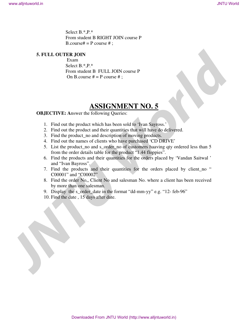Select B.\*,P.\* From student B RIGHT JOIN course P B.course# = P course #;

## **5. FULL OUTER JOIN**

 Exam Select B.\*,P.\* From student B FULL JOIN course P On B.course  $# = P$  course  $#$ ;

## **ASSIGNMENT NO. 5**

**OBJECTIVE:** Answer the following Queries:

- 1. Find out the product which has been sold to 'Ivan Sayross.'
- 2. Find out the product and their quantities that will have do delivered.
- 3. Find the product\_no and description of moving products.
- 4. Find out the names of clients who have purchased 'CD DRIVE'
- 5. List the product\_no and s\_order\_no of customers haaving qty ordered less than 5 from the order details table for the product "1.44 floppies".
- 6. Find the products and their quantities for the orders placed by 'Vandan Saitwal ' and "Ivan Bayross".
- 7. Find the products and their quantities for the orders placed by client\_no " C00001" and "C00002"
- 8. Find the order No,, Client No and salesman No. where a client has been received by more than one salesman. **Select H.<sup>2</sup>1<sup>2</sup><br>
Jacobuse B RIGHT JOIN course P**<br> **JACOTER JOIN**<br> **JACOTER JOIN**<br> **JACOTER JOIN**<br> **JACOTER JOIN**<br> **SENCE IS**  ${}^{\text{F}}$ P is the small of 14.11.10 OIN course P<br> **LADOTER TO A SENCE A SENCE AND COURT CONTI** 
	- 9. Display the s\_order\_date in the format "dd-mm-yy" e.g. "12- feb-96"
	- 10. Find the date , 15 days after date.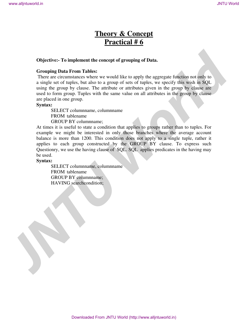# **Theory & Concept Practical # 6**

#### **Objective:- To implement the concept of grouping of Data.**

#### **Grouping Data From Tables:**

 There are circumstances where we would like to apply the aggregate function not only to a single set of tuples, but also to a group of sets of tuples, we specify this wish in SQL using the group by clause. The attribute or attributes given in the group by clause are used to form group. Tuples with the same value on all attributes in the group by clause are placed in one group.

#### **Syntax:**

SELECT columnname, columnname FROM tablename GROUP BY columnname;

At times it is useful to state a condition that applies to groups rather than to tuples. For example we might be interested in only those branches where the average account balance is more than 1200. This condition does not apply to a single tuple, rather it applies to each group constructed by the GROUP BY clause. To express such Questionry, we use the having clause of SQL. SQL applies predicates in the having may be used. **Theory & Concept**<br> **Tractical #6**<br> **Concept**<br> **Growing that the concept of grouping of Data.**<br> **Growing that then the state of east of the copy for eastern the concept for a litter of the state of the state of the state o** 

#### **Syntax:**

SELECT columnname, columnname FROM tablename GROUP BY columnname; HAVING searchcondition;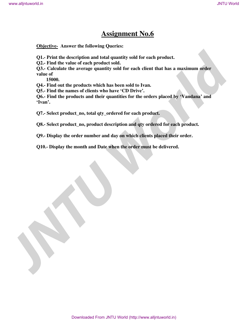# **Assignment No.6**

**Objective- Answer the following Queries:** 

**Q1.- Print the description and total quantity sold for each product.** 

**Q2.- Find the value of each product sold.** 

**Q3.- Calculate the average quantity sold for each client that has a maximum order value of JNTU World**<br> **JNTU World**<br> **JNTU World**<br> **JUNE Allied Monetary Control** will for each product.<br> **JUNE ALLIED WORLD WORLD WATER CONTINUE WATER AND THE SURVEY ON A CAUCAL SURVEY CONTINUE WATER SURVEY ON THE SURVEY OF DRIVIN** 

 **15000.** 

**Q4.- Find out the products which has been sold to Ivan.** 

**Q5.- Find the names of clients who have 'CD Drive'.** 

**Q6.- Find the products and their quantities for the orders placed by 'Vandana' and 'Ivan'.** 

**Q7.- Select product\_no, total qty\_ordered for each product.** 

**Q8.- Select product\_no, product description and qty ordered for each product.** 

**Q9.- Display the order number and day on which clients placed their order.** 

**Q10.- Display the month and Date when the order must be delivered.**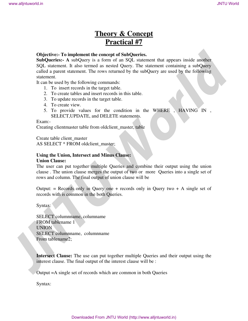# **Theory & Concept Practical #7**

#### **Objective:- To implement the concept of SubQueries.**

**SubQueries:- A** subQuery is a form of an SQL statement that appears inside another SQL statement. It also termed as nested Query. The statement containing a subQuery called a parent statement. The rows returned by the subQuery are used by the following statement. **Objectives. To implement the concept of SubQueries.<br>
SubQueries. A adoptogry is a form of an NQL statement that appears inside another SubLation: A another of subCostery control to the subQuery of the subQuery of the sub** 

It can be used by the following commands:

- 1. To insert records in the target table.
- 2. To create tables and insert records in this table.
- 3. To update records in the target table.
- 4. To create view.
- 5. To provide values for the condition in the WHERE , HAVING IN , SELECT,UPDATE, and DELETE statements.

Exam:-

Creating clientmaster table from oldclient\_master, table

Create table client\_master

AS SELECT \* FROM oldclient\_master;

#### **Using the Union, Intersect and Minus Clause: Union Clause:**

## The user can put together multiple Queries and combine their output using the union clause . The union clause merges the output of two or more Queries into a single set of rows and column. The final output of union clause will be

Output:  $=$  Records only in Query one  $+$  records only in Query two  $+$  A single set of records with is common in the both Queries.

Syntax:

SELECT columnname, columname FROM tablename 1 UNION SELECT columnname, columnname From tablename2;

**Intersect Clause:** The use can put together multiple Queries and their output using the interest clause. The final output of the interest clause will be :

Output =A single set of records which are common in both Queries

Syntax: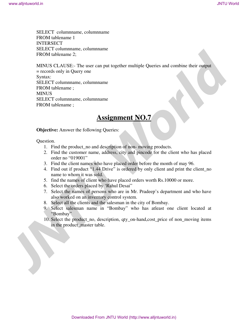SELECT columnname, columnname FROM tablename 1 INTERSECT SELECT columnname, columnname FROM tablename 2;

MINUS CLAUSE:- The user can put together multiple Queries and combine their output = records only in Query one Syntax: SELECT columnname, columnname FROM tablename ; **MINUS** SELECT columnname, columnname FROM tablename ; **SEE HE'L columnation**, columnation<br> **JNTU World**<br> **JNTUCS CLACES** . The user can put together multiple Queries and combine their column<br> **JNTUCS CLACES** . The user can put together multiple Queries and combine their origi

## **Assignment NO.7**

**Objective:** Answer the following Queries:

Question.

- 1. Find the product\_no and description of non- moving products.
- 2. Find the customer name, address, city and pincode for the client who has placed order no "019001"
- 3. Find the client names who have placed order before the month of may 96.
- 4. Find out if product "1.44 Drive" is ordered by only client and print the client\_no name to whom it was sold.
- 5. find the names of client who have placed orders worth Rs.10000 or more.
- 6. Select the orders placed by 'Rahul Desai"
- 7. Select the names of persons who are in Mr. Pradeep's department and who have also worked on an inventory control system.
- 8. Select all the clients and the salesman in the city of Bombay.
- 9. Select salesman name in "Bombay" who has atleast one client located at "Bombay"
- 10. Select the product\_no, description, qty\_on-hand,cost\_price of non\_moving items in the product\_master table.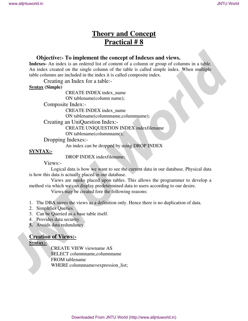# **Theory and Concept Practical # 8**

## **Objective:- To implement the concept of Indexes and views.**

**Indexes-** An index is an ordered list of content of a column or group of columns in a table. An index created on the single column of the table is called simple index. When multiple table columns are included in the index it is called composite index. **Objective:** To implement the concept of Indexes and views.<br>
Indexes and views an ordered is of counter of a column or group of columns in a uble.<br>
An index created on the single column of the table is called composite ind

Creating an Index for a table:-

## **Syntax (Simple)**

CREATE INDEX index\_name

ON tablename(column name);

Composite Index:-

CREATE INDEX index\_name ON tablename(columnname,columnname);

Creating an UniQuestion Index:-

CREATE UNIQUESTION INDEX indexfilename

ON tablename(columnname);

Dropping Indexes:-

An index can be dropped by using DROP INDEX

## **SYNTAX:-**

DROP INDEX indexfilename;

Views:-

Logical data is how we want to see the current data in our database. Physical data is how this data is actually placed in our database.

Views are masks placed upon tables. This allows the programmer to develop a method via which we can display predetermined data to users according to our desire.

Views may be created fore the following reasons:

- 1. The DBA stores the views as a definition only. Hence there is no duplication of data.
- 2. Simplifies Queries.
- 3. Can be Queried as a base table itself.
- 4. Provides data security.
- **5.** Avoids data redundancy.

## **Creation of Views:-**

## **Syntax:-**

CREATE VIEW viewname AS SELECT columnname,columnname FROM tablename WHERE columnname=expression\_list;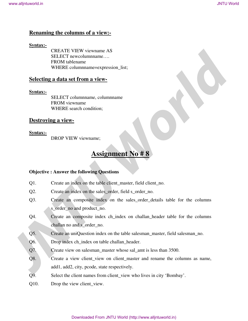## **Renaming the columns of a view:-**

## **Syntax:-**

CREATE VIEW viewname AS SELECT newcolumnname…. FROM tablename WHERE columnname=expression list;

## **Selecting a data set from a view-**

## **Syntax:-**

SELECT columnname, columnname FROM viewname WHERE search condition;

## **Destroying a view-**

## **Syntax:-**

DROP VIEW viewname;

# **Assignment No # 8**

## **Objective : Answer the following Questions**

- Q1. Create an index on the table client master, field client no.
- Q2. Create an index on the sales\_order, field s\_order\_no.
- Q3. Create an composite index on the sales\_order\_details table for the columns s\_order\_no and product\_no.
- Q4. Create an composite index ch\_index on challan\_header table for the columns challan no and s\_order\_no. **SECULAR CONDUCTS**<br> **JNTU World**<br> **JNTU World**<br> **JNTU WorldFRE COMMERC COMMERCANTS**<br> **TNU WORLDF COMMERCANTS**<br> **WHERE COMMERCANTS**<br> **WHERE COMMERCANTS**<br> **SECULAR COMMERCANTS**<br> **JNTU WORLDF COMMERCANTS**<br> **JNTU WORLDF COMME** 
	- Q5. Create an uniQuestion index on the table salesman\_master, field salesman\_no.
	- Q6. Drop index ch\_index on table challan\_header.
	- Q7. Create view on salesman\_master whose sal\_amt is less than 3500.
	- Q8. Create a view client\_view on client\_master and rename the columns as name, add1, add2, city, pcode, state respectively.
	- Q9. Select the client names from client\_view who lives in city 'Bombay'.
	- Q10. Drop the view client\_view.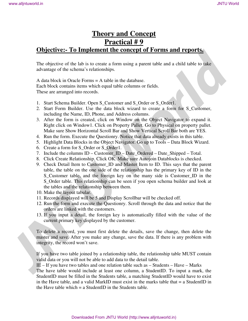## **Theory and Concept Practical # 9 Objective:- To Implement the concept of Forms and reports.**

The objective of the lab is to create a form using a parent table and a child table to take advantage of the schema's relationships.

A data block in Oracle Forms = A table in the database. Each block contains items which equal table columns or fields. These are arranged into records.

- 1. Start Schema Builder. Open S\_Customer and S\_Order or S\_Order1.
- 2. Start Form Builder. Use the data block wizard to create a form for S\_Customer, including the Name, ID, Phone, and Address columns.
- 3. After the form is created, click on Window on the Object Navigator to expand it. Right click on Window1. Click on Property Pallet. Go to Physical on property pallet. Make sure Show Horizontal Scroll Bar and Show Vertical Scroll Bar both are YES.
- 4. Run the form. Execute the Questionry. Notice that data already exists in this table.
- 5. Highlight Data Blocks in the Object Navigator. Go up to Tools Data Block Wizard.
- 6. Create a form for S\_Order or S\_Order1.
- 7. Include the columns ID Customer\_ID Date\_Ordered Date\_Shipped Total.
- 8. Click Create Relationship. Click OK. Make sure Autojoin Datablocks is checked.
- 9. Check Detail Item to Customer\_ID and Master Item to ID. This says that the parent table, the table on the one side of the relationship has the primary key of ID in the S\_Customer table, and the foreign key on the many side is Customer\_ID in the S Order table. This relationship can be seen if you open schema builder and look at the tables and the relationship between them. **Solution and Concert Contents in the Concert Concert Concert Concert Concert Concert Concert Concert Concert Concert Concert Concert Concert Concert Concert Concert Concert Concert Concert Concert Concert Concert Concert** 
	- 10. Make the layout tabular.
	- 11. Records displayed will be 5 and Display Scrollbar will be checked off.
	- 12. Run the form and execute the Questionry. Scroll through the data and notice that the orders are linked with the customers.
	- 13. If you input a detail, the foreign key is automatically filled with the value of the current primary key displayed by the customer.

To delete a record, you must first delete the details, save the change, then delete the master and save. After you make any change, save the data. If there is any problem with integrity, the record won't save.

If you have two table joined by a relationship table, the relationship table MUST contain valid data or you will not be able to add data to the detail table.

IE – If you have two tables and one relation table such as – Students – Have – Marks

The have table would include at least one column, a StudentID. To input a mark, the StudentID must be filled in the Students table, a matching StudentID would have to exist in the Have table, and a valid MarkID must exist in the marks table that  $= a$  StudentID in the Have table which  $= a$  StudentID in the Students table.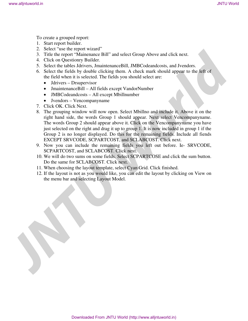To create a grouped report:

- 1. Start report builder.
- 2. Select "use the report wizard"
- 3. Title the report "Mainenance Bill" and select Group Above and click next.
- 4. Click on Questionry Builder.
- 5. Select the tables Jdrivers, JmaintenanceBill, JMBCodeandcosts, and Jvendors.
- 6. Select the fields by double clicking them. A check mark should appear to the left of the field when it is selected. The fields you should select are:
	- Jdrivers Drsupervisor
	- JmaintenanceBill All fields except VandorNumber
	- **JMBCodeandcosts** All except Mbillnumber
	- Jvendors Vencompanyname
- 7. Click OK. Click Next.
- 8. The grouping window will now open. Select Mbillno and include it. Above it on the right hand side, the words Group 1 should appear. Next select Vencompanyname. The words Group 2 should appear above it. Click on the Vencompanyname you have just selected on the right and drag it up to group 1. It is now included in group 1 if the Group 2 is no longer displayed. Do this for the remaining fields. Include all fiends EXCEPT SRVCODE, SCPARTCOST, and SCLABCOST. Click next. **JNTU World**<br> **JNTU World**<br> **JNTU World**<br> **JNTU World**<br> **JNTU World**<br> **JNTU World**<br> **JNTU World**<br> **JNTU World**<br> **JNTU World**<br> **JNTU World**<br> **JNTU World**<br> **JNTU World**<br> **JNTU World**<br> **JNTU World**<br> **JNTU World**<br> **JNTU World** 
	- 9. Now you can include the remaining fields you left out before. Ie- SRVCODE, SCPARTCOST, and SCLABCOST. Click next.
	- 10. We will do two sums on some fields. Select SCPARTCOSE and click the sum button. Do the same for SCLABCOST. Click next.
	- 11. When choosing the layout template, select Cyan Grid. Click finished.
	- 12. If the layout is not as you would like, you can edit the layout by clicking on View on the menu bar and selecting Layout Model.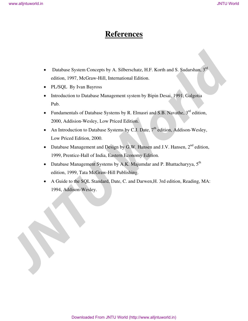# **References**

- Database System Concepts by A. Silberschatz, H.F. Korth and S. Sudarshan, 3<sup>rd</sup> edition, 1997, McGraw-Hill, International Edition.
- PL/SQL By Ivan Bayross
- Introduction to Database Management system by Bipin Desai, 1991, Galgotia Pub.
- Fundamentals of Database Systems by R. Elmasri and S.B. Navathe,  $3^{rd}$  edition, 2000, Addision-Wesley, Low Priced Edition.
- An Introduction to Database Systems by C.J. Date,  $7<sup>th</sup>$  edition, Addison-Wesley, Low Priced Edition, 2000.
- Database Management and Design by G.W. Hansen and J.V. Hansen, 2<sup>nd</sup> edition, 1999, Prentice-Hall of India, Eastern Economy Edition.
- Database Management Systems by A.K. Majumdar and P. Bhattacharyya, 5<sup>th</sup> edition, 1999, Tata McGraw-Hill Publishing.
- A Guide to the SQL Standard, Date, C. and Darwen,H. 3rd edition, Reading, MA: 1994, Addison-Wesley. **JNTU World**<br> **JNTU World**<br> **JNTU World**<br> **Californ, 1997. McChase-Hill, International Edition.**<br> **PLASQL** By Ivan Baytes<br> **JNTU Worldow Straighterment system by Higm Decsit, 1991. Galgatist<br>
<b>JNTU International weak of Mu**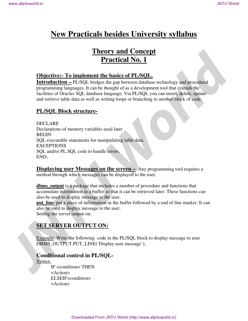# **New Practicals besides University syllabus**

# **Theory and Concept Practical No. 1**

## **Objective:- To implement the basics of PL/SQL.**

**Introduction –** PL/SQL bridges the gap between database technology and procedural programming languages. It can be thought of as a development tool that extends the facilities of Oracles SQL database language. Via PL/SQL you can insert, delete, update and retrieve table data as well as writing loops or branching to another block of code.

## **PL/SQL Block structure-**

DECLARE Declarations of memory variables used later BEGIN SQL executable statements for manipulating table data. EXCEPTIONS SQL and/or PL.SQL code to handle errors. END; **Theory and Concept**<br> **Distribution - PLASO Examplement the basis of PLASOL**<br>
Introduction - PLASO bridges the say between dealese celonology and procedural<br>
programming languages, the can be thought of war development to

**Displaying user Messages on the screen –** Any programming tool requires a method through which messages can be displayed to the user.

**dbms\_output** is a package that includes a number of procedure and functions that accumulate information in a buffer so that it can be retrieved later. These functions can also be used to display message to the user.

**put\_line**: put a piece of information in the buffer followed by a end of line marker. It can also be used to display message to the user. Setting the server output on:

## **SET SERVER OUTPUT ON:**

Example: Write the following code in the PL/SQL block to display message to user DBMS\_OUTPUT.PUT\_LINE('Display user message');

## **Conditional control in PL/SQL-**

Syntax:

IF <condition> THEN <Action> ELSEIF<condition> <Action>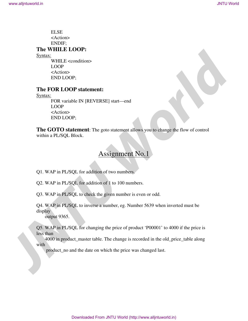ELSE <Action> ENDIF; **The WHILE LOOP:**  Syntax: WHILE <condition> LOOP <Action> END LOOP; **FITSE**<br> **JNTU World**<br> **JNTU ENDITE:**<br> **JNTU WORLDOOP**<br> **JNTU ENDITE:**<br> **JNTU WORLDOOP**<br> **JNTU LEVER LOOP**<br> **THE FOR LOOP statement:**<br> **JNTU LOOP**<br> **THE FOR LOOP statement:**<br> **JNTU LOOP**<br> **THE GOTTO statement:** The good st

## **The FOR LOOP statement:**

Syntax:

FOR variable IN [REVERSE] start—end LOOP <Action> END LOOP;

**The GOTO statement**: The goto statement allows you to change the flow of control within a PL/SQL Block.

## Assignment No.1

Q1. WAP in PL/SQL for addition of two numbers.

Q2. WAP in PL/SQL for addition of 1 to 100 numbers.

Q3. WAP in PL/SQL to check the given number is even or odd.

Q4. WAP in PL/SQL to inverse a number, eg. Number 5639 when inverted must be display

output 9365.

Q5. WAP in PL/SQL for changing the price of product 'P00001' to 4000 if the price is less than

 4000 in product\_master table. The change is recorded in the old\_price\_table along with

product\_no and the date on which the price was changed last.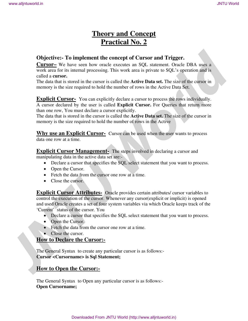# **Theory and Concept Practical No. 2**

## **Objective:- To implement the concept of Cursor and Trigger.**

**Cursor–** We have seen how oracle executes an SQL statement. Oracle DBA uses a work area for its internal processing. This work area is private to SQL's operation and is called a **cursor.** 

The data that is stored in the cursor is called the **Active Data set.** The size of the cursor in memory is the size required to hold the number of rows in the Active Data Set.

**Explicit Cursor-** You can explicitly declare a cursor to process the rows individually. A cursor declared by the user is called **Explicit Cursor.** For Queries that return more than one row, You must declare a cursor explicitly.

The data that is stored in the cursor is called the **Active Data set.** The size of the cursor in memory is the size required to hold the number of rows in the Active

**Why use an Explicit Cursor-** Cursor can be used when the user wants to process data one row at a time.

**Explicit Cursor Management-** The steps involved in declaring a cursor and

manipulating data in the active data set are:-

- Declare a cursor that specifies the SQL select statement that you want to process.
- Open the Cursor.
- Fetch the data from the cursor one row at a time.
- Close the cursor.

**Explicit Cursor Attributes-** Oracle provides certain attributes/ cursor variables to control the execution of the cursor. Whenever any cursor(explicit or implicit) is opened and used Oracle creates a set of four system variables via which Oracle keeps track of the 'Current' status of the cursor. You **JNTU World Conservation JNTU World**<br> **JNTU World Conservation 2014**<br> **JNTU World Conservation 2014**<br> **Conservation JNTU World Conservation Conservation Conservation Conservation Conservation Conservation T** 

- Declare a cursor that specifies the SQL select statement that you want to process.
- Open the Cursor.
- Fetch the data from the cursor one row at a time.
- Close the cursor.

## **How to Declare the Cursor:-**

The General Syntax to create any particular cursor is as follows:- **Cursor <Cursorname> is Sql Statement;** 

## **How to Open the Cursor:-**

The General Syntax to Open any particular cursor is as follows:- **Open Cursorname;**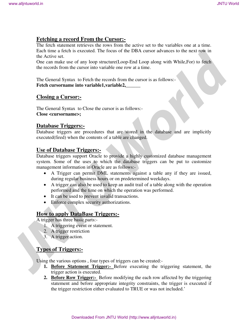## **Fetching a record From the Cursor:-**

The fetch statement retrieves the rows from the active set to the variables one at a time. Each time a fetch is executed. The focus of the DBA cursor advances to the next row in the Active set.

One can make use of any loop structure(Loop-End Loop along with While,For) to fetch the records from the cursor into variable one row at a time.

The General Syntax to Fetch the records from the cursor is as follows:- **Fetch cursorname into variable1,variable2,\_\_\_\_\_\_** 

## **Closing a Cursor:-**

The General Syntax to Close the cursor is as follows:- **Close <cursorname>;** 

## **Database Triggers:-**

Database triggers are procedures that are stored in the database and are implicitly executed(fired) when the contents of a table are changed.

## **Use of Database Triggers:-**

Database triggers support Oracle to provide a highly customized database management system. Some of the uses to which the database triggers can be put to customize management information in Oracle are as follows:- **The first is a model was a strengtheneous and the control of the strengtheneous and the condition of the strengtheneous conditions are a model with the condition of the condition of the condition of the condition of the c** 

- A Trigger can permit DML statements against a table any if they are issued, during regular business hours or on predetermined weekdays.
- A trigger can also be used to keep an audit trail of a table along with the operation performed and the time on which the operation was performed.
- It can be used to prevent invalid transactions.
- Enforce complex security authorizations.

## **How to apply DataBase Triggers:-**

A trigger has three basic parts:-

- 1. A triggering event or statement.
- 2. A trigger restriction
- 3. A trigger action.

## **Types of Triggers:-**

Using the various options , four types of triggers can be created:-

- **1. Before Statement Trigger:-** Before executing the triggering statement, the trigger action is executed.
- **2. Before Row Trigger:-** Before modifying the each row affected by the triggering statement and before appropriate integrity constraints, the trigger is executed if the trigger restriction either evaluated to TRUE or was not included.'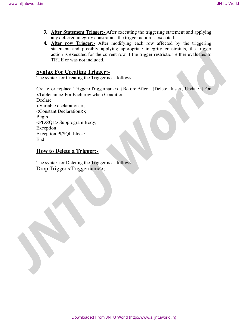- **3. After Statement Trigger:-** After executing the triggering statement and applying any deferred integrity constraints, the trigger action is executed.
- **4. After row Trigger:-** After modifying each row affected by the triggering statement and possibly applying appropriate integrity constraints, the trigger action is executed for the current row if the trigger restriction either evaluates to TRUE or was not included.

## **Syntax For Creating Trigger:-**

The syntax for Creating the Trigger is as follows:-

Create or replace Trigger<Triggername> {Before,After} {Delete, Insert, Update } On <Tablename> For Each row when Condition Declare <Variable declarations>; <Constant Declarations>; Begin <PL/SQL> Subprogram Body; Exception Exception Pl/SQL block; End; We alljntuworld.in<br> **JNTU World**<br> **JNTU World**<br> **JNTU World**<br> **JNTU World**<br> **LADE THE THEREST:** A New regist resulting test interaction of the registration of the registration<br> **LADE or was not included**<br> **CONDITY OF CONDI** 

## **How to Delete a Trigger:-**

.

The syntax for Deleting the Trigger is as follows:- Drop Trigger <Triggername>;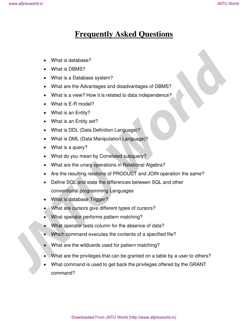# **Frequently Asked Questions**

- What is database?
- What is DBMS?
- What is a Database system?
- What are the Advantages and disadvantages of DBMS?
- What is a view? How it is related to data independence?
- What is E-R model?
- What is an Entity?
- What is an Entity set?
- What is DDL (Data Definition Language)?
- What is DML (Data Manipulation Language)?
- What is a query?
- What do you mean by Correlated subquery?
- What are the unary operations in Relational Algebra?
- Are the resulting relations of PRODUCT and JOIN operation the same?
- Define SQL and state the differences between SQL and other conventional programming Languages
- What is database Trigger?
- What are cursors give different types of cursors?
- What operator performs pattern matching?
- What operator tests column for the absence of data?
- Which command executes the contents of a specified file?
- What are the wildcards used for pattern matching?
- What are the privileges that can be granted on a table by a user to others?
- What command is used to get back the privileges offered by the GRANT • What is database?<br>
• What is DBMS?<br>
• What is a Database system?<br>
• What are the Advantages and disadvantages of DBMS?<br>
• What is a view? How its related to data independence?<br>
• What is a Finity?<br>
• What is an Entity?<br> command?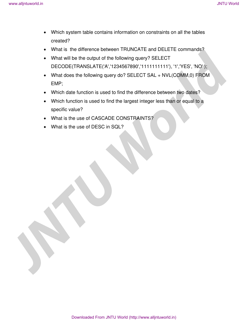- Which system table contains information on constraints on all the tables created?
- What is the difference between TRUNCATE and DELETE commands?
- What will be the output of the following query? SELECT DECODE(TRANSLATE('A','1234567890','1111111111'), '1','YES', 'NO' );
- What does the following query do? SELECT SAL + NVL(COMM,0) FROM EMP; We alljeback in **JNTU World**<br> **JNTU World**<br> **JNTU World**<br> **JNTU World**<br> **JNTU World**<br> **JNTU WORLD WE BE OUT UNITERATE CONTINUATE AND DELETE COMMAND (THE VIDEO WARR WIND TO DECODE (TRANSLATE/AT/12446678001) 1111111111111111** 
	- Which date function is used to find the difference between two dates?
	- Which function is used to find the largest integer less than or equal to a specific value?
	- What is the use of CASCADE CONSTRAINTS?
	- What is the use of DESC in SQL?